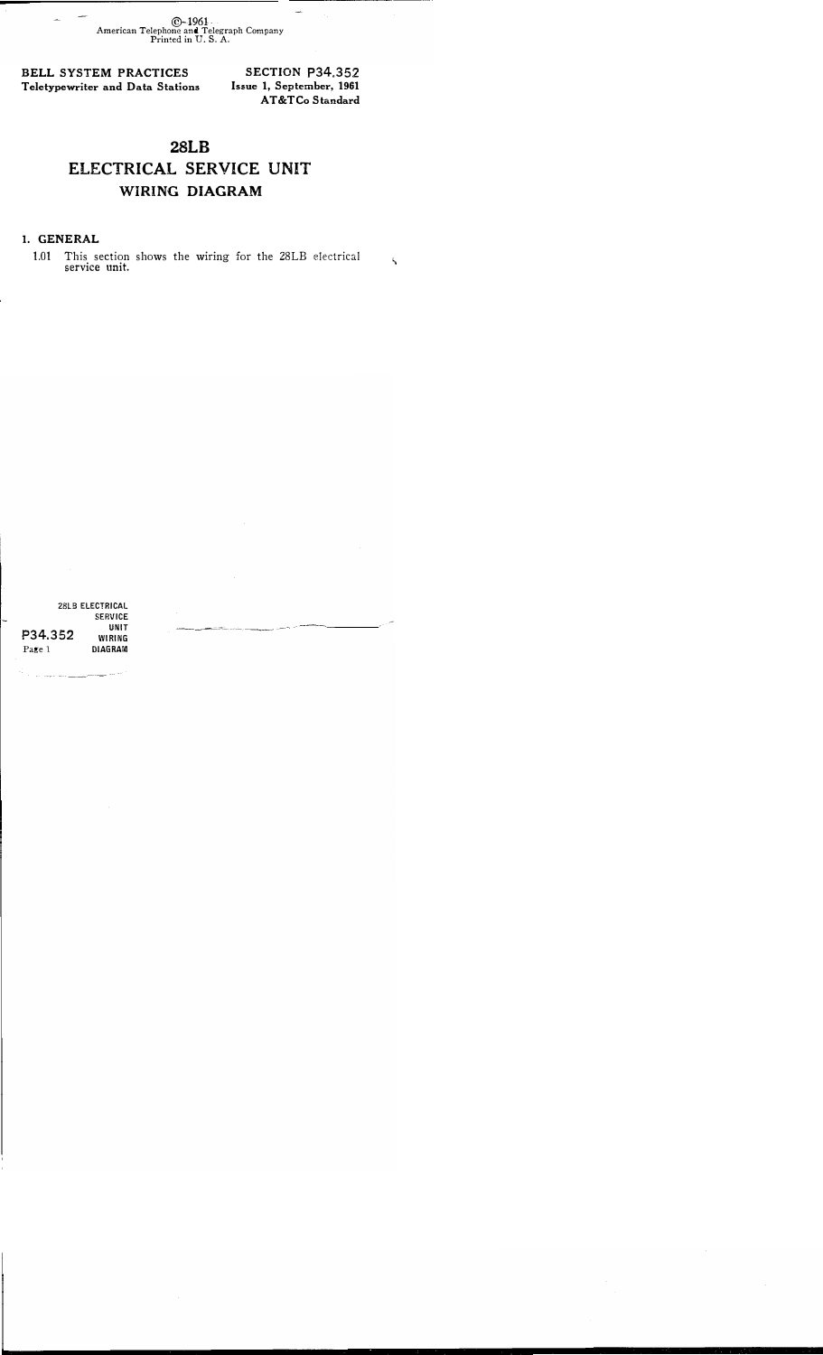@-1961 American Telephone and Telegraph Company Printed in U.S. A.

BELL SYSTEM PRACTICES Teletypewriter and Data Stations

SECTION P34.352 Issue 1, September, 1961 AT&TCo Standard

## 28LB ELECTRICAL SERVICE UNIT WIRING DIAGRAM

## I. GENERAL

1.01 This section shows the wiring for the 28LB electrical service unit.

|         | 28LB ELECTRICAL |
|---------|-----------------|
|         | <b>SERVICE</b>  |
| P34.352 | UNIT            |
|         | WIRING          |
| Page 1  | DIAGRAM         |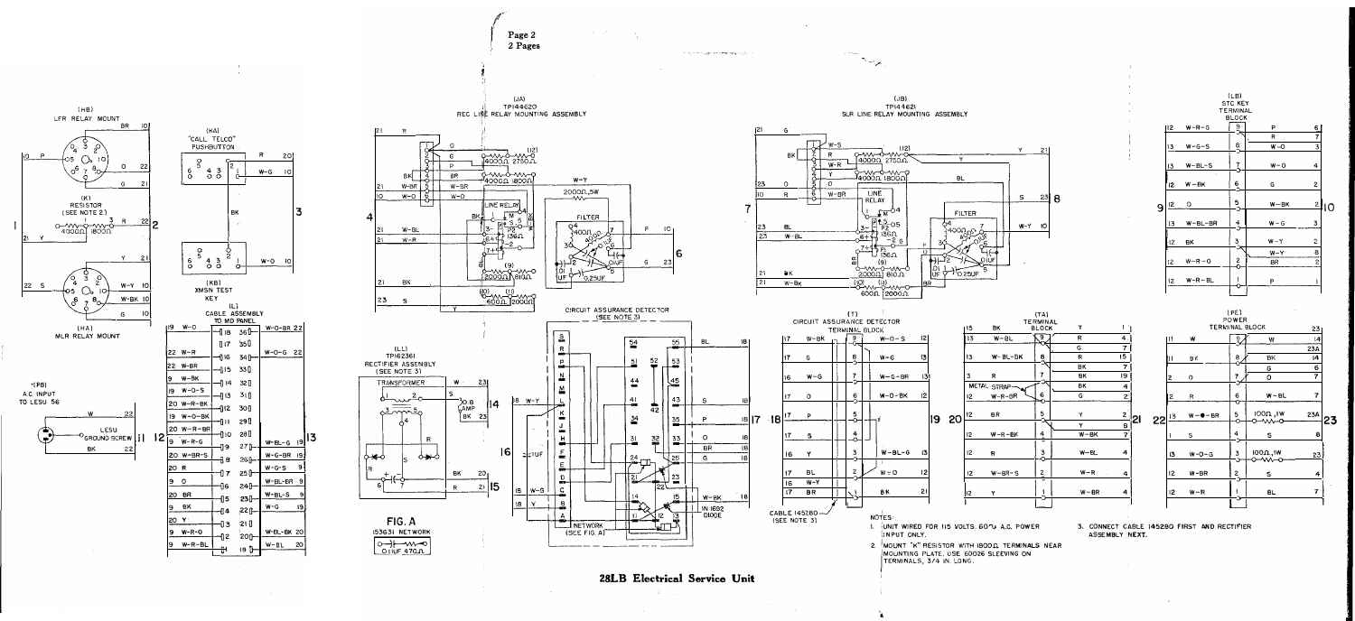

28LB Electrical Service Unit